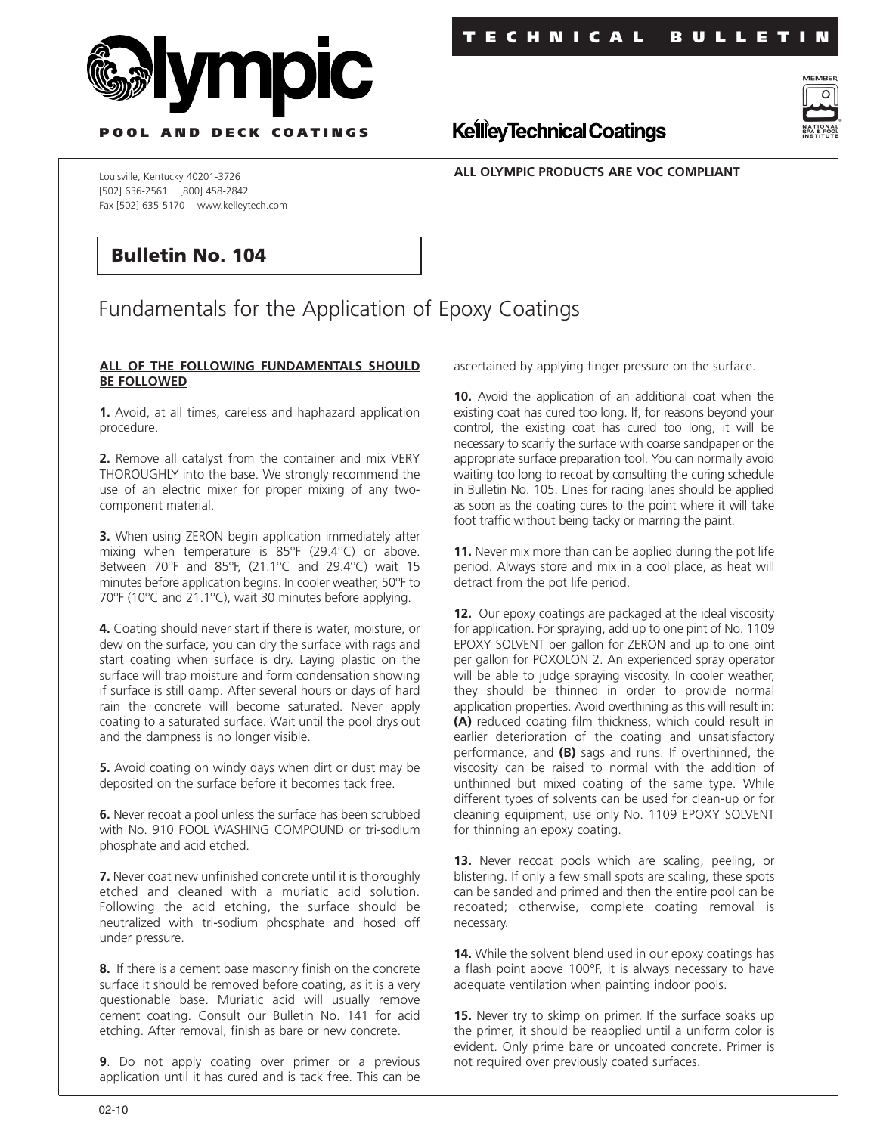



**P OOL AND DECK COATINGS**

**ALL OLYMPIC PRODUCTS ARE VOC COMPLIANT**

**KellieyTechnical Coatings** 

Louisville, Kentucky 40201-3726 [502] 636-2561 [800] 458-2842 Fax [502] 635-5170 www.kelleytech.com

## **Bulletin No. 104**

## Fundamentals for the Application of Epoxy Coatings

## **ALL OF THE FOLLOWING FUNDAMENTALS SHOULD BE FOLLOWED**

**1.** Avoid, at all times, careless and haphazard application procedure.

**2.** Remove all catalyst from the container and mix VERY THOROUGHLY into the base. We strongly recommend the use of an electric mixer for proper mixing of any twocomponent material.

**3.** When using ZERON begin application immediately after mixing when temperature is 85°F (29.4°C) or above. Between 70°F and 85°F, (21.1°C and 29.4°C) wait 15 minutes before application begins. In cooler weather, 50°F to 70°F (10°C and 21.1°C), wait 30 minutes before applying.

**4.** Coating should never start if there is water, moisture, or dew on the surface, you can dry the surface with rags and start coating when surface is dry. Laying plastic on the surface will trap moisture and form condensation showing if surface is still damp. After several hours or days of hard rain the concrete will become saturated. Never apply coating to a saturated surface. Wait until the pool drys out and the dampness is no longer visible.

**5.** Avoid coating on windy days when dirt or dust may be deposited on the surface before it becomes tack free.

**6.** Never recoat a pool unless the surface has been scrubbed with No. 910 POOL WASHING COMPOUND or tri-sodium phosphate and acid etched.

**7.** Never coat new unfinished concrete until it is thoroughly etched and cleaned with a muriatic acid solution. Following the acid etching, the surface should be neutralized with tri-sodium phosphate and hosed off under pressure.

**8.** If there is a cement base masonry finish on the concrete surface it should be removed before coating, as it is a very questionable base. Muriatic acid will usually remove cement coating. Consult our Bulletin No. 141 for acid etching. After removal, finish as bare or new concrete.

**9**. Do not apply coating over primer or a previous application until it has cured and is tack free. This can be

ascertained by applying finger pressure on the surface.

**10.** Avoid the application of an additional coat when the existing coat has cured too long. If, for reasons beyond your control, the existing coat has cured too long, it will be necessary to scarify the surface with coarse sandpaper or the appropriate surface preparation tool. You can normally avoid waiting too long to recoat by consulting the curing schedule in Bulletin No. 105. Lines for racing lanes should be applied as soon as the coating cures to the point where it will take foot traffic without being tacky or marring the paint.

**11.** Never mix more than can be applied during the pot life period. Always store and mix in a cool place, as heat will detract from the pot life period.

**12.** Our epoxy coatings are packaged at the ideal viscosity for application. For spraying, add up to one pint of No. 1109 EPOXY SOLVENT per gallon for ZERON and up to one pint per gallon for POXOLON 2. An experienced spray operator will be able to judge spraying viscosity. In cooler weather, they should be thinned in order to provide normal application properties. Avoid overthining as this will result in: **(A)** reduced coating film thickness, which could result in earlier deterioration of the coating and unsatisfactory performance, and **(B)** sags and runs. If overthinned, the viscosity can be raised to normal with the addition of unthinned but mixed coating of the same type. While different types of solvents can be used for clean-up or for cleaning equipment, use only No. 1109 EPOXY SOLVENT for thinning an epoxy coating.

**13.** Never recoat pools which are scaling, peeling, or blistering. If only a few small spots are scaling, these spots can be sanded and primed and then the entire pool can be recoated; otherwise, complete coating removal is necessary.

**14.** While the solvent blend used in our epoxy coatings has a flash point above 100°F, it is always necessary to have adequate ventilation when painting indoor pools.

**15.** Never try to skimp on primer. If the surface soaks up the primer, it should be reapplied until a uniform color is evident. Only prime bare or uncoated concrete. Primer is not required over previously coated surfaces.